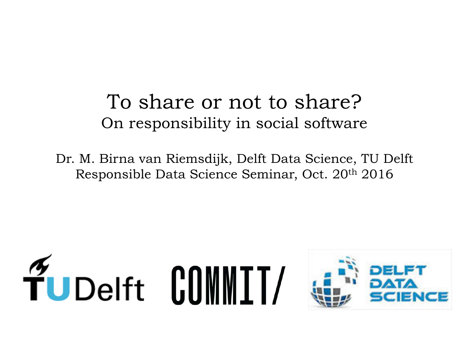#### To share or not to share? On responsibility in social software

Dr. M. Birna van Riemsdijk, Delft Data Science, TU Delft Responsible Data Science Seminar, Oct. 20th 2016

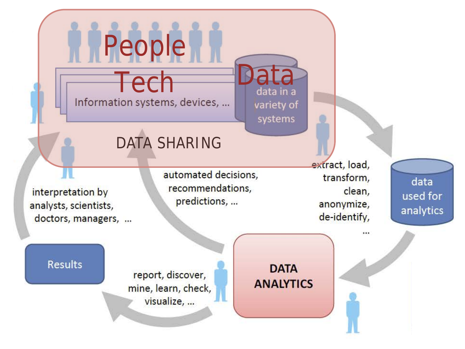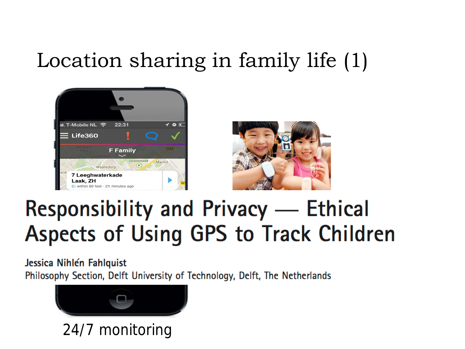## Location sharing in family life (1)





# **Responsibility and Privacy — Ethical Aspects of Using GPS to Track Children**

Jessica Nihlén Fahlquist Philosophy Section, Delft University of Technology, Delft, The Netherlands



24/7 monitoring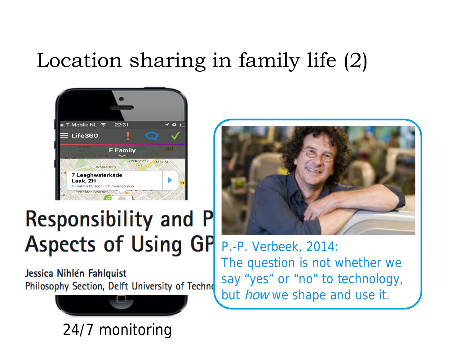## Location sharing in family life (2)



# **Responsibility and P Aspects of Using GP**

Jessica Nihlén Fahlquist Philosophy Section, Delft University of Techno



24/7 monitoring



P.-P. Verbeek, 2014: The question is not whether we say "yes" or "no" to technology, but *how* we shape and use it.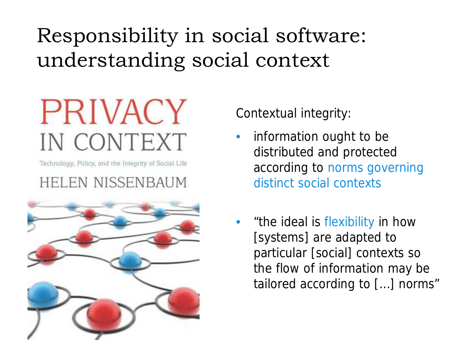# Responsibility in social software: understanding social context

# **PRIVACY** IN CONTEXT

Technology, Policy, and the Integrity of Social Life

#### **HELEN NISSENBAUM**



Contextual integrity:

- information ought to be distributed and protected according to norms governing distinct social contexts
- "the ideal is flexibility in how [systems] are adapted to particular [social] contexts so the flow of information may be tailored according to […] norms"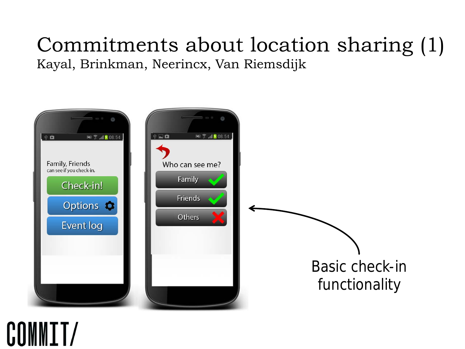#### Commitments about location sharing (1) Kayal, Brinkman, Neerincx, Van Riemsdijk



# COMMIT/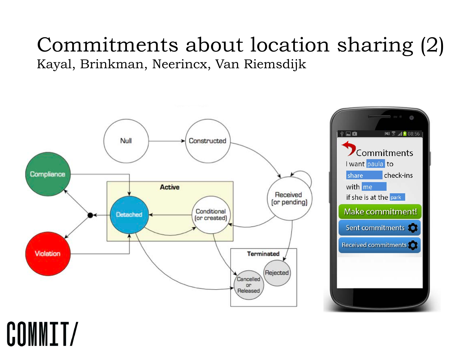#### Commitments about location sharing (2) Kayal, Brinkman, Neerincx, Van Riemsdijk



# COMMIT/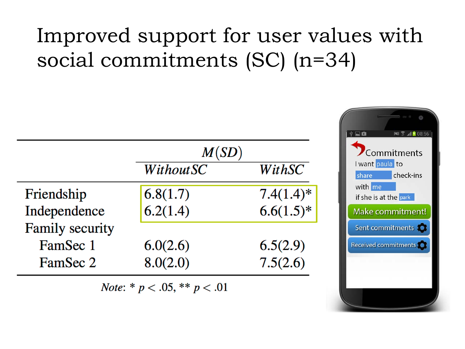# Improved support for user values with social commitments (SC) (n=34)

|                        | M(SD)            |              |
|------------------------|------------------|--------------|
|                        | <b>WithoutSC</b> | WithSC       |
| Friendship             | 6.8(1.7)         | $7.4(1.4)$ * |
| Independence           | 6.2(1.4)         | $6.6(1.5)*$  |
| <b>Family security</b> |                  |              |
| FamSec 1               | 6.0(2.6)         | 6.5(2.9)     |
| FamSec 2               | 8.0(2.0)         | 7.5(2.6)     |

*Note*: \*  $p < .05$ , \*\*  $p < .01$ 

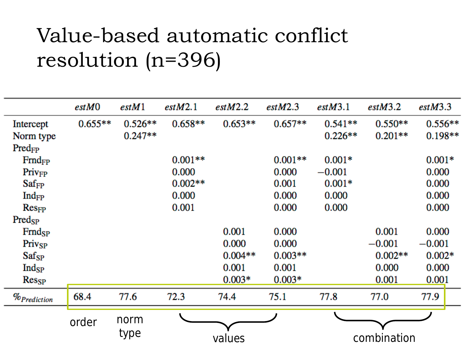### Value-based automatic conflict resolution (n=396)

|                    | estM0     | estM1     | estM2.1   | estM2.2   | estM2.3   | estM3.1     | estM3.2   | estM3.3   |
|--------------------|-----------|-----------|-----------|-----------|-----------|-------------|-----------|-----------|
| Intercept          | $0.655**$ | $0.526**$ | $0.658**$ | $0.653**$ | $0.657**$ | $0.541**$   | $0.550**$ | $0.556**$ |
| Norm type          |           | $0.247**$ |           |           |           | $0.226**$   | $0.201**$ | $0.198**$ |
| Pred <sub>FP</sub> |           |           |           |           |           |             |           |           |
| $Find_{FP}$        |           |           | $0.001**$ |           | $0.001**$ | $0.001*$    |           | $0.001*$  |
| $Priv_{FP}$        |           |           | 0.000     |           | 0.000     | $-0.001$    |           | 0.000     |
| $Saf_{FP}$         |           |           | $0.002**$ |           | 0.001     | $0.001*$    |           | 0.000     |
| $Ind_{FP}$         |           |           | 0.000     |           | 0.000     | 0.000       |           | 0.000     |
| $Res_{FP}$         |           |           | 0.001     |           | 0.000     | 0.000       |           | 0.000     |
| $Pred_{SP}$        |           |           |           |           |           |             |           |           |
| $Frid_{SP}$        |           |           |           | 0.001     | 0.000     |             | 0.001     | 0.000     |
| Privsp             |           |           |           | 0.000     | 0.000     |             | $-0.001$  | $-0.001$  |
| $Saf_{SP}$         |           |           |           | $0.004**$ | $0.003**$ |             | $0.002**$ | $0.002*$  |
| $Ind_{SP}$         |           |           |           | 0.001     | 0.001     |             | 0.000     | 0.000     |
| $Res_{SP}$         |           |           |           | $0.003*$  | $0.003*$  |             | 0.001     | 0.001     |
| $\%_{ Prediction}$ | 68.4      | 77.6      | 72.3      | 74.4      | 75.1      | 77.8        | 77.0      | 77.9      |
|                    |           | norm      |           |           |           |             |           |           |
|                    | order     |           |           |           |           |             |           |           |
|                    |           | type      | values    |           |           | combination |           |           |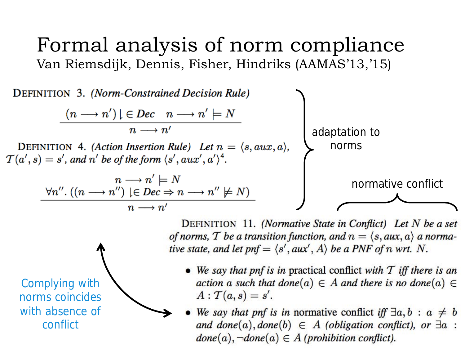#### Formal analysis of norm compliance Van Riemsdijk, Dennis, Fisher, Hindriks (AAMAS'13,'15)



DEFINITION 11. (Normative State in Conflict) Let  $N$  be a set of norms, T be a transition function, and  $n = \langle s, aux, a \rangle$  a normative state, and let pnf =  $\langle s', aux', A \rangle$  be a PNF of n wrt. N.

- We say that pnf is in practical conflict with  $T$  iff there is an action a such that done(a)  $\in$  A and there is no done(a)  $\in$  $A: \mathcal{T}(a,s) = s'.$
- We say that pnf is in normative conflict iff  $\exists a, b : a \neq b$ and done(a), done(b)  $\in$  A (obligation conflict), or  $\exists a$ :  $done(a), \neg done(a) \in A$  (prohibition conflict).

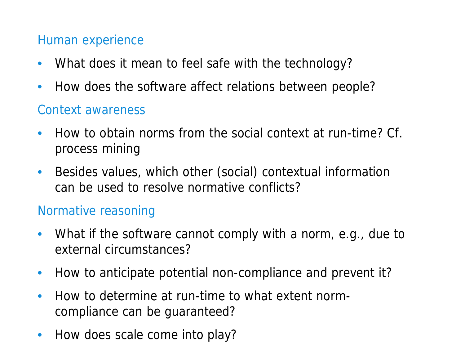#### Human experience

- What does it mean to feel safe with the technology?
- How does the software affect relations between people?

#### Context awareness

- How to obtain norms from the social context at run-time? Cf. process mining
- Besides values, which other (social) contextual information can be used to resolve normative conflicts?

#### Normative reasoning

- What if the software cannot comply with a norm, e.g., due to external circumstances?
- How to anticipate potential non-compliance and prevent it?
- How to determine at run-time to what extent normcompliance can be guaranteed?
- Responsible Data Science Seminar October 2016 11 • How does scale come into play?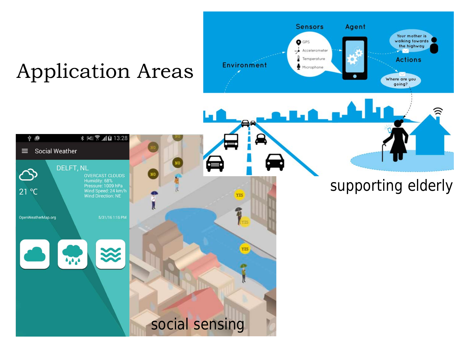